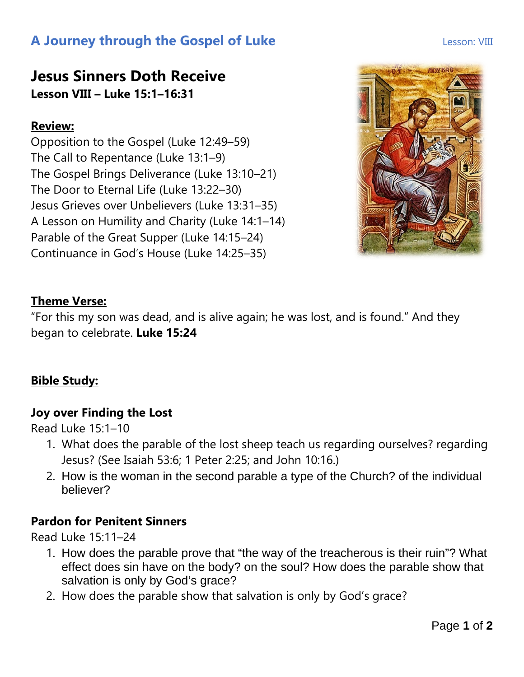# **A Journey through the Gospel of Luke Lesson: VIII**

## **Jesus Sinners Doth Receive Lesson VIII – Luke 15:1–16:31**

#### **Review:**

Opposition to the Gospel (Luke 12:49–59) The Call to Repentance (Luke 13:1–9) The Gospel Brings Deliverance (Luke 13:10–21) The Door to Eternal Life (Luke 13:22–30) Jesus Grieves over Unbelievers (Luke 13:31–35) A Lesson on Humility and Charity (Luke 14:1–14) Parable of the Great Supper (Luke 14:15–24) Continuance in God's House (Luke 14:25–35)



#### **Theme Verse:**

"For this my son was dead, and is alive again; he was lost, and is found." And they began to celebrate. **Luke 15:24**

### **Bible Study:**

#### **Joy over Finding the Lost**

Read Luke 15:1–10

- 1. What does the parable of the lost sheep teach us regarding ourselves? regarding Jesus? (See Isaiah 53:6; 1 Peter 2:25; and John 10:16.)
- 2. How is the woman in the second parable a type of the Church? of the individual believer?

#### **Pardon for Penitent Sinners**

Read Luke 15:11–24

- 1. How does the parable prove that "the way of the treacherous is their ruin"? What effect does sin have on the body? on the soul? How does the parable show that salvation is only by God's grace?
- 2. How does the parable show that salvation is only by God's grace?